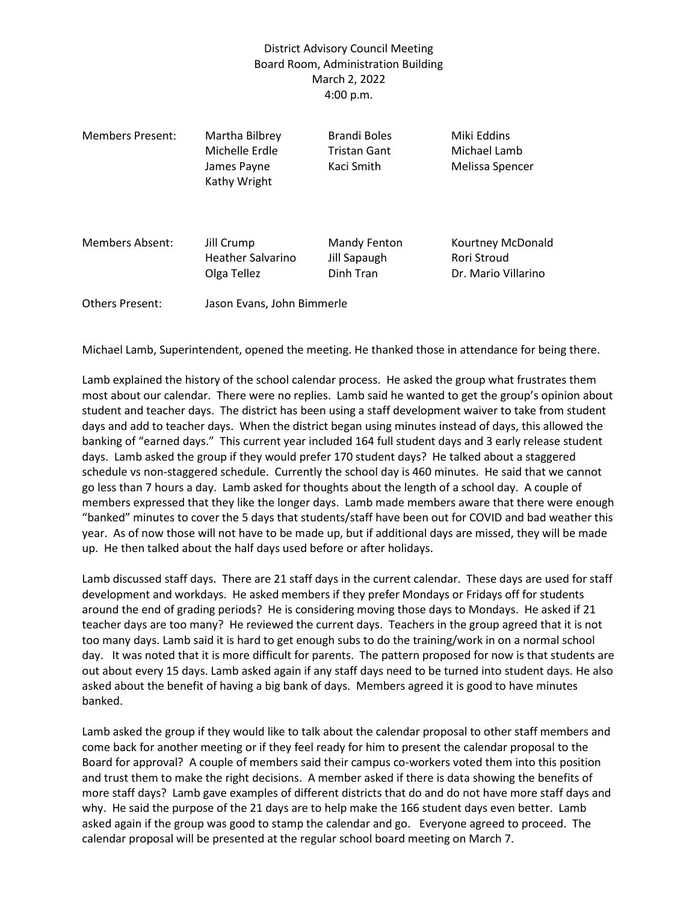## District Advisory Council Meeting Board Room, Administration Building March 2, 2022 4:00 p.m.

| <b>Members Present:</b> | Martha Bilbrey<br>Michelle Erdle<br>James Payne<br>Kathy Wright | <b>Brandi Boles</b><br>Tristan Gant<br>Kaci Smith | Miki Eddins<br>Michael Lamb<br>Melissa Spencer          |
|-------------------------|-----------------------------------------------------------------|---------------------------------------------------|---------------------------------------------------------|
| Members Absent:         | Jill Crump<br><b>Heather Salvarino</b><br>Olga Tellez           | Mandy Fenton<br>Jill Sapaugh<br>Dinh Tran         | Kourtney McDonald<br>Rori Stroud<br>Dr. Mario Villarino |
| <b>Others Present:</b>  | Jason Evans, John Bimmerle                                      |                                                   |                                                         |

Michael Lamb, Superintendent, opened the meeting. He thanked those in attendance for being there.

Lamb explained the history of the school calendar process. He asked the group what frustrates them most about our calendar. There were no replies. Lamb said he wanted to get the group's opinion about student and teacher days. The district has been using a staff development waiver to take from student days and add to teacher days. When the district began using minutes instead of days, this allowed the banking of "earned days." This current year included 164 full student days and 3 early release student days. Lamb asked the group if they would prefer 170 student days? He talked about a staggered schedule vs non-staggered schedule. Currently the school day is 460 minutes. He said that we cannot go less than 7 hours a day. Lamb asked for thoughts about the length of a school day. A couple of members expressed that they like the longer days. Lamb made members aware that there were enough "banked" minutes to cover the 5 days that students/staff have been out for COVID and bad weather this year. As of now those will not have to be made up, but if additional days are missed, they will be made up. He then talked about the half days used before or after holidays.

Lamb discussed staff days. There are 21 staff days in the current calendar. These days are used for staff development and workdays. He asked members if they prefer Mondays or Fridays off for students around the end of grading periods? He is considering moving those days to Mondays. He asked if 21 teacher days are too many? He reviewed the current days. Teachers in the group agreed that it is not too many days. Lamb said it is hard to get enough subs to do the training/work in on a normal school day. It was noted that it is more difficult for parents. The pattern proposed for now is that students are out about every 15 days. Lamb asked again if any staff days need to be turned into student days. He also asked about the benefit of having a big bank of days. Members agreed it is good to have minutes banked.

Lamb asked the group if they would like to talk about the calendar proposal to other staff members and come back for another meeting or if they feel ready for him to present the calendar proposal to the Board for approval? A couple of members said their campus co-workers voted them into this position and trust them to make the right decisions. A member asked if there is data showing the benefits of more staff days? Lamb gave examples of different districts that do and do not have more staff days and why. He said the purpose of the 21 days are to help make the 166 student days even better. Lamb asked again if the group was good to stamp the calendar and go. Everyone agreed to proceed. The calendar proposal will be presented at the regular school board meeting on March 7.